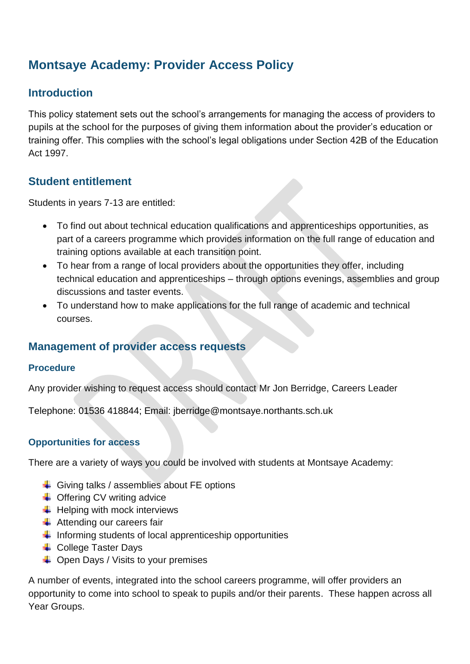# **Montsaye Academy: Provider Access Policy**

## **Introduction**

This policy statement sets out the school's arrangements for managing the access of providers to pupils at the school for the purposes of giving them information about the provider's education or training offer. This complies with the school's legal obligations under Section 42B of the Education Act 1997.

## **Student entitlement**

Students in years 7-13 are entitled:

- To find out about technical education qualifications and apprenticeships opportunities, as part of a careers programme which provides information on the full range of education and training options available at each transition point.
- To hear from a range of local providers about the opportunities they offer, including technical education and apprenticeships – through options evenings, assemblies and group discussions and taster events.
- To understand how to make applications for the full range of academic and technical courses.

## **Management of provider access requests**

#### **Procedure**

Any provider wishing to request access should contact Mr Jon Berridge, Careers Leader

Telephone: 01536 418844; Email: jberridge@montsaye.northants.sch.uk

#### **Opportunities for access**

There are a variety of ways you could be involved with students at Montsaye Academy:

- $\overline{\phantom{a}}$  Giving talks / assemblies about FE options
- **↓** Offering CV writing advice
- $\bigstar$  Helping with mock interviews
- $\bigstar$  Attending our careers fair
- $\ddot{\phantom{1}}$  Informing students of local apprenticeship opportunities
- $\overline{\phantom{a}}$  College Taster Days
- $\overline{\phantom{a}}$  Open Days / Visits to your premises

A number of events, integrated into the school careers programme, will offer providers an opportunity to come into school to speak to pupils and/or their parents. These happen across all Year Groups.